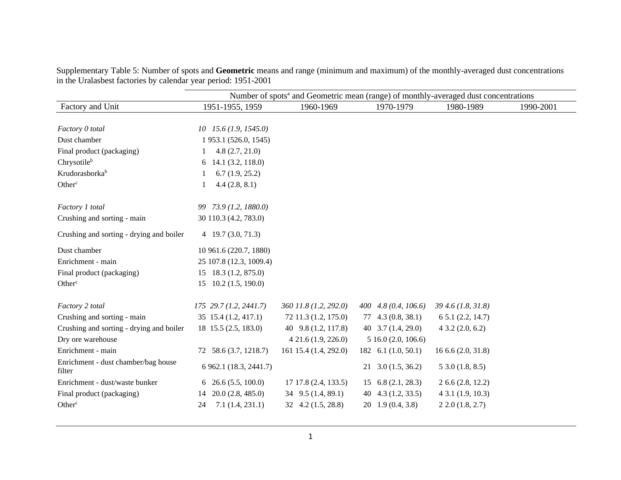|                                               | Number of spots <sup>a</sup> and Geometric mean (range) of monthly-averaged dust concentrations |                              |                              |                       |           |  |  |  |  |  |
|-----------------------------------------------|-------------------------------------------------------------------------------------------------|------------------------------|------------------------------|-----------------------|-----------|--|--|--|--|--|
| Factory and Unit                              | 1951-1955, 1959                                                                                 | 1960-1969                    | 1970-1979                    | 1980-1989             | 1990-2001 |  |  |  |  |  |
| Factory 0 total                               | $10$ $15.6$ $(1.9, 1545.0)$                                                                     |                              |                              |                       |           |  |  |  |  |  |
| Dust chamber                                  | 1 953.1 (526.0, 1545)                                                                           |                              |                              |                       |           |  |  |  |  |  |
| Final product (packaging)                     | 4.8(2.7, 21.0)                                                                                  |                              |                              |                       |           |  |  |  |  |  |
| Chrysotileb                                   | 14.1(3.2, 118.0)<br>6                                                                           |                              |                              |                       |           |  |  |  |  |  |
| Krudorasborkab                                | 6.7(1.9, 25.2)                                                                                  |                              |                              |                       |           |  |  |  |  |  |
| Other <sup>c</sup>                            | 4.4(2.8, 8.1)                                                                                   |                              |                              |                       |           |  |  |  |  |  |
| Factory 1 total                               | 99 73.9 (1.2, 1880.0)                                                                           |                              |                              |                       |           |  |  |  |  |  |
| Crushing and sorting - main                   | 30 110.3 (4.2, 783.0)                                                                           |                              |                              |                       |           |  |  |  |  |  |
| Crushing and sorting - drying and boiler      | $4\quad 19.7\ (3.0, 71.3)$                                                                      |                              |                              |                       |           |  |  |  |  |  |
| Dust chamber                                  | 10 961.6 (220.7, 1880)                                                                          |                              |                              |                       |           |  |  |  |  |  |
| Enrichment - main                             | 25 107.8 (12.3, 1009.4)                                                                         |                              |                              |                       |           |  |  |  |  |  |
| Final product (packaging)                     | 15 18.3 (1.2, 875.0)                                                                            |                              |                              |                       |           |  |  |  |  |  |
| Other <sup>c</sup>                            | $15$ 10.2 (1.5, 190.0)                                                                          |                              |                              |                       |           |  |  |  |  |  |
| Factory 2 total                               | $175$ 29.7 (1.2, 2441.7)                                                                        | 360 11.8 (1.2, 292.0)        | $400\quad 4.8\ (0.4, 106.6)$ | 39 4.6 (1.8, 31.8)    |           |  |  |  |  |  |
| Crushing and sorting - main                   | 35 15.4 (1.2, 417.1)                                                                            | 72 11.3 (1.2, 175.0)         | $77$ 4.3 (0.8, 38.1)         | 65.1(2.2, 14.7)       |           |  |  |  |  |  |
| Crushing and sorting - drying and boiler      | 18 15.5 (2.5, 183.0)                                                                            | 40 9.8 (1.2, 117.8)          | 40 3.7 (1.4, 29.0)           | 43.2(2.0, 6.2)        |           |  |  |  |  |  |
| Dry ore warehouse                             |                                                                                                 | 421.6(1.9, 226.0)            | 516.0(2.0, 106.6)            |                       |           |  |  |  |  |  |
| Enrichment - main                             | 72 58.6 (3.7, 1218.7)                                                                           | 161 15.4 (1.4, 292.0)        | 182 6.1 $(1.0, 50.1)$        | 1666(2.0, 31.8)       |           |  |  |  |  |  |
| Enrichment - dust chamber/bag house<br>filter | 6 962.1 (18.3, 2441.7)                                                                          |                              | $21 \quad 3.0 \ (1.5, 36.2)$ | 53.0(1.8, 8.5)        |           |  |  |  |  |  |
| Enrichment - dust/waste bunker                | $6\quad 26.6\ (5.5, 100.0)$                                                                     | 17 17.8 (2.4, 133.5)         | $15 \quad 6.8 \ (2.1, 28.3)$ | 26.6(2.8, 12.2)       |           |  |  |  |  |  |
| Final product (packaging)                     | 14 20.0 (2.8, 485.0)                                                                            | 34 9.5 (1.4, 89.1)           | 4.3(1.2, 33.5)<br>40         | $4\,3.1\,(1.9, 10.3)$ |           |  |  |  |  |  |
| Other <sup>c</sup>                            | 7.1(1.4, 231.1)<br>24                                                                           | $32 \quad 4.2 \ (1.5, 28.8)$ | $20\quad 1.9\ (0.4, 3.8)$    | 22.0(1.8, 2.7)        |           |  |  |  |  |  |

Supplementary Table 5: Number of spots and **Geometric** means and range (minimum and maximum) of the monthly-averaged dust concentrations in the Uralasbest factories by calendar year period: 1951-2001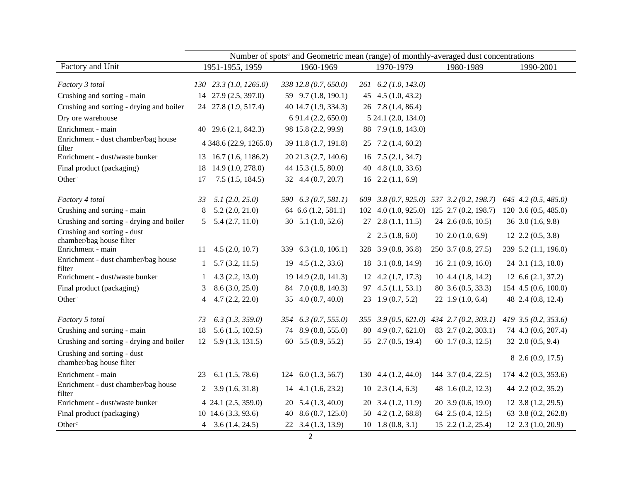|                                                         | Number of spots <sup>a</sup> and Geometric mean (range) of monthly-averaged dust concentrations |                        |    |                       |    |                                           |  |                         |                         |
|---------------------------------------------------------|-------------------------------------------------------------------------------------------------|------------------------|----|-----------------------|----|-------------------------------------------|--|-------------------------|-------------------------|
| Factory and Unit                                        |                                                                                                 | 1951-1955, 1959        |    | 1960-1969             |    | 1970-1979                                 |  | 1980-1989               | 1990-2001               |
| Factory 3 total                                         |                                                                                                 | 130 23.3 (1.0, 1265.0) |    | 338 12.8 (0.7, 650.0) |    | 261 6.2 (1.0, 143.0)                      |  |                         |                         |
| Crushing and sorting - main                             |                                                                                                 | 14 27.9 (2.5, 397.0)   |    | 59 9.7 (1.8, 190.1)   |    | 45 4.5 $(1.0, 43.2)$                      |  |                         |                         |
| Crushing and sorting - drying and boiler                |                                                                                                 | 24 27.8 (1.9, 517.4)   |    | 40 14.7 (1.9, 334.3)  |    | 26 7.8 (1.4, 86.4)                        |  |                         |                         |
| Dry ore warehouse                                       |                                                                                                 |                        |    | 6 91.4 (2.2, 650.0)   |    | 5 24.1 (2.0, 134.0)                       |  |                         |                         |
| Enrichment - main                                       |                                                                                                 | 40 29.6 (2.1, 842.3)   |    | 98 15.8 (2.2, 99.9)   |    | 88 7.9 (1.8, 143.0)                       |  |                         |                         |
| Enrichment - dust chamber/bag house<br>filter           |                                                                                                 | 4 348.6 (22.9, 1265.0) |    | 39 11.8 (1.7, 191.8)  |    | $25$ 7.2 (1.4, 60.2)                      |  |                         |                         |
| Enrichment - dust/waste bunker                          | 13                                                                                              | 16.7(1.6, 1186.2)      |    | 20 21.3 (2.7, 140.6)  |    | $16$ 7.5 $(2.1, 34.7)$                    |  |                         |                         |
| Final product (packaging)                               | 18                                                                                              | 14.9 (1.0, 278.0)      |    | 44 15.3 (1.5, 80.0)   |    | 40 4.8 $(1.0, 33.6)$                      |  |                         |                         |
| Other <sup>c</sup>                                      | 17                                                                                              | 7.5(1.5, 184.5)        |    | 32 4.4 (0.7, 20.7)    |    | $16$ 2.2 (1.1, 6.9)                       |  |                         |                         |
| Factory 4 total                                         | 33                                                                                              | 5.1(2.0, 25.0)         |    | 590 6.3 (0.7, 581.1)  |    | 609 3.8 (0.7, 925.0) 537 3.2 (0.2, 198.7) |  |                         | 645 4.2 (0.5, 485.0)    |
| Crushing and sorting - main                             | 8                                                                                               | 5.2(2.0, 21.0)         |    | 64 6.6 (1.2, 581.1)   |    | 102 4.0 (1.0, 925.0) 125 2.7 (0.2, 198.7) |  |                         | 120 3.6 (0.5, 485.0)    |
| Crushing and sorting - drying and boiler                | 5                                                                                               | 5.4(2.7, 11.0)         |    | 30 $5.1$ (1.0, 52.6)  |    | $27$ $2.8$ $(1.1, 11.5)$                  |  | $24$ 2.6 (0.6, 10.5)    | $36$ $3.0$ $(1.6, 9.8)$ |
| Crushing and sorting - dust<br>chamber/bag house filter |                                                                                                 |                        |    |                       |    | 2 $2.5(1.8, 6.0)$                         |  | $10\,2.0\,(1.0, 6.9)$   | $12$ $2.2$ $(0.5, 3.8)$ |
| Enrichment - main                                       | 11                                                                                              | 4.5(2.0, 10.7)         |    | 339 6.3 (1.0, 106.1)  |    | 328 3.9 (0.8, 36.8)                       |  | 250 3.7 (0.8, 27.5)     | 239 5.2 (1.1, 196.0)    |
| Enrichment - dust chamber/bag house<br>filter           | $\mathbf{1}$                                                                                    | 5.7(3.2, 11.5)         | 19 | 4.5(1.2, 33.6)        | 18 | 3.1(0.8, 14.9)                            |  | $16$ 2.1 $(0.9, 16.0)$  | 24 3.1 (1.3, 18.0)      |
| Enrichment - dust/waste bunker                          | 1                                                                                               | 4.3(2.2, 13.0)         |    | 19 14.9 (2.0, 141.3)  |    | $12 \quad 4.2 \ (1.7, 17.3)$              |  | $10, 4.4$ $(1.8, 14.2)$ | $12\;6.6\; (2.1, 37.2)$ |
| Final product (packaging)                               | 3                                                                                               | 8.6(3.0, 25.0)         | 84 | 7.0(0.8, 140.3)       |    | 97 4.5 (1.1, 53.1)                        |  | 80 3.6 (0.5, 33.3)      | 154 4.5 (0.6, 100.0)    |
| Other <sup>c</sup>                                      | 4                                                                                               | 4.7(2.2, 22.0)         |    | 35 4.0 (0.7, 40.0)    |    | 23 1.9 (0.7, 5.2)                         |  | 22 1.9 $(1.0, 6.4)$     | 48 2.4 (0.8, 12.4)      |
| Factory 5 total                                         | 73                                                                                              | $6.3$ (1.3, 359.0)     |    | 354 6.3 (0.7, 555.0)  |    | 355 3.9 (0.5, 621.0) 434 2.7 (0.2, 303.1) |  |                         | 419 3.5 (0.2, 353.6)    |
| Crushing and sorting - main                             | 18                                                                                              | 5.6(1.5, 102.5)        |    | 74 8.9 (0.8, 555.0)   |    | 80 4.9 (0.7, 621.0)                       |  | 83 2.7 (0.2, 303.1)     | 74 4.3 (0.6, 207.4)     |
| Crushing and sorting - drying and boiler                |                                                                                                 | $12$ 5.9 (1.3, 131.5)  |    | 60 5.5 (0.9, 55.2)    |    | 55 2.7 (0.5, 19.4)                        |  | 60 1.7 (0.3, 12.5)      | 32 2.0 (0.5, 9.4)       |
| Crushing and sorting - dust<br>chamber/bag house filter |                                                                                                 |                        |    |                       |    |                                           |  |                         | 8 2.6 (0.9, 17.5)       |
| Enrichment - main                                       | 23                                                                                              | 6.1(1.5, 78.6)         |    | 124 $6.0(1.3, 56.7)$  |    | 130 4.4 (1.2, 44.0)                       |  | 144 3.7 (0.4, 22.5)     | 174 4.2 (0.3, 353.6)    |
| Enrichment - dust chamber/bag house<br>filter           | 2                                                                                               | 3.9(1.6, 31.8)         |    | $14$ 4.1 (1.6, 23.2)  |    | $10\quad 2.3\ (1.4, 6.3)$                 |  | 48 1.6 (0.2, 12.3)      | 44 2.2 (0.2, 35.2)      |
| Enrichment - dust/waste bunker                          |                                                                                                 | 4 24.1 (2.5, 359.0)    | 20 | 5.4(1.3, 40.0)        |    | 20 3.4 (1.2, 11.9)                        |  | 20 3.9 (0.6, 19.0)      | $12$ 3.8 $(1.2, 29.5)$  |
| Final product (packaging)                               |                                                                                                 | 10 14.6 (3.3, 93.6)    | 40 | 8.6(0.7, 125.0)       |    | 50 4.2 (1.2, 68.8)                        |  | 64 2.5 (0.4, 12.5)      | 63 3.8 (0.2, 262.8)     |
| Other <sup>c</sup>                                      |                                                                                                 | 4 $3.6(1.4, 24.5)$     |    | 22 3.4 (1.3, 13.9)    |    | $10\quad 1.8\ (0.8, 3.1)$                 |  | 15 2.2 (1.2, 25.4)      | 12 2.3 (1.0, 20.9)      |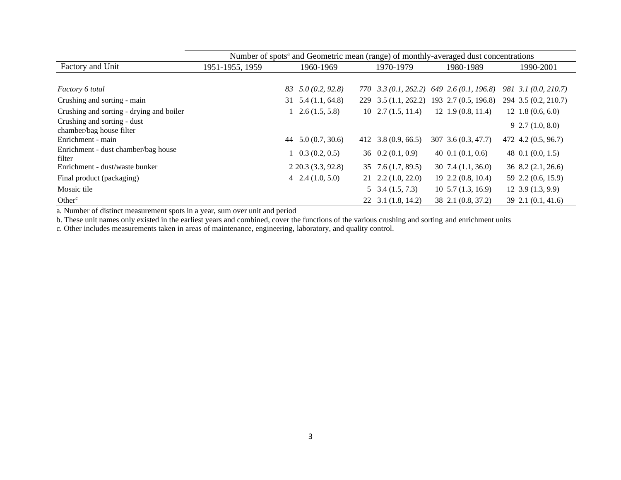|                                                         | Number of spots <sup>a</sup> and Geometric mean (range) of monthly-averaged dust concentrations |                                  |  |                                  |                                                 |                           |
|---------------------------------------------------------|-------------------------------------------------------------------------------------------------|----------------------------------|--|----------------------------------|-------------------------------------------------|---------------------------|
| Factory and Unit                                        | 1951-1955, 1959                                                                                 | 1960-1969                        |  | 1970-1979                        | 1980-1989                                       | 1990-2001                 |
|                                                         |                                                                                                 |                                  |  |                                  |                                                 |                           |
| Factory 6 total                                         |                                                                                                 | 5.0(0.2, 92.8)<br>83             |  |                                  | $770$ $3.3(0.1, 262.2)$ $649$ $2.6(0.1, 196.8)$ | 981 3.1 (0.0, 210.7)      |
| Crushing and sorting - main                             |                                                                                                 | $31 \quad 5.4 \quad (1.1, 64.8)$ |  |                                  | 229 3.5 (1.1, 262.2) 193 2.7 (0.5, 196.8)       | 294 3.5 (0.2, 210.7)      |
| Crushing and sorting - drying and boiler                |                                                                                                 | $1\quad 2.6\ (1.5, 5.8)$         |  | $10\quad 2.7\ (1.5, 11.4)$       | $12$ 1.9 (0.8, 11.4)                            | $12 \; 1.8 \; (0.6, 6.0)$ |
| Crushing and sorting - dust<br>chamber/bag house filter |                                                                                                 |                                  |  |                                  |                                                 | $9\,2.7\,(1.0, 8.0)$      |
| Enrichment - main                                       |                                                                                                 | 44 $5.0(0.7, 30.6)$              |  | 412 3.8 $(0.9, 66.5)$            | 307 3.6 (0.3, 47.7)                             | 472 4.2 (0.5, 96.7)       |
| Enrichment - dust chamber/bag house<br>filter           |                                                                                                 | $1\quad 0.3\ (0.2, 0.5)$         |  | $36 \quad 0.2 \ (0.1, 0.9)$      | 40 0.1 $(0.1, 0.6)$                             | 48 0.1 (0.0, 1.5)         |
| Enrichment - dust/waste bunker                          |                                                                                                 | $2\,20.3\,(3.3, 92.8)$           |  | $35 \quad 7.6 \quad (1.7, 89.5)$ | $30\,7.4\,(1.1, 36.0)$                          | $36\,8.2\,(2.1, 26.6)$    |
| Final product (packaging)                               |                                                                                                 | $4\quad 2.4\ (1.0, 5.0)$         |  | $21 \quad 2.2 \quad (1.0, 22.0)$ | $19\,2.2\,(0.8, 10.4)$                          | 59 2.2 (0.6, 15.9)        |
| Mosaic tile                                             |                                                                                                 |                                  |  | $5\quad 3.4\ (1.5, 7.3)$         | $10\,5.7\,(1.3, 16.9)$                          | 12, 3.9(1.3, 9.9)         |
| Other <sup>c</sup>                                      |                                                                                                 |                                  |  | $22$ 3.1 (1.8, 14.2)             | 38 2.1 (0.8, 37.2)                              | $39\,2.1\,(0.1, 41.6)$    |

a. Number of distinct measurement spots in a year, sum over unit and period

b. These unit names only existed in the earliest years and combined, cover the functions of the various crushing and sorting and enrichment units

c. Other includes measurements taken in areas of maintenance, engineering, laboratory, and quality control.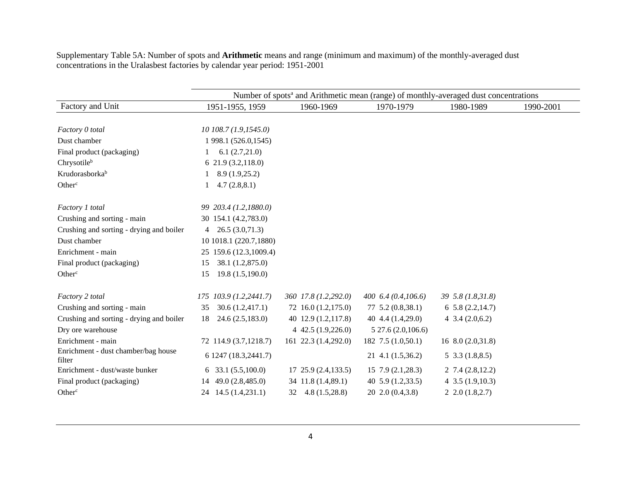Supplementary Table 5A: Number of spots and **Arithmetic** means and range (minimum and maximum) of the monthly-averaged dust concentrations in the Uralasbest factories by calendar year period: 1951-2001

|                                               | Number of spots <sup>a</sup> and Arithmetic mean (range) of monthly-averaged dust concentrations |                              |                         |                     |           |  |  |  |  |  |
|-----------------------------------------------|--------------------------------------------------------------------------------------------------|------------------------------|-------------------------|---------------------|-----------|--|--|--|--|--|
| Factory and Unit                              | 1951-1955, 1959                                                                                  | 1960-1969                    | 1970-1979               | 1980-1989           | 1990-2001 |  |  |  |  |  |
|                                               |                                                                                                  |                              |                         |                     |           |  |  |  |  |  |
| Factory 0 total                               | $10$ 108.7 (1.9,1545.0)                                                                          |                              |                         |                     |           |  |  |  |  |  |
| Dust chamber                                  | 1 998.1 (526.0,1545)                                                                             |                              |                         |                     |           |  |  |  |  |  |
| Final product (packaging)                     | 6.1(2.7,21.0)                                                                                    |                              |                         |                     |           |  |  |  |  |  |
| Chrysotileb                                   | 621.9(3.2,118.0)                                                                                 |                              |                         |                     |           |  |  |  |  |  |
| Krudorasborkab                                | 8.9(1.9,25.2)                                                                                    |                              |                         |                     |           |  |  |  |  |  |
| Other <sup>c</sup>                            | 4.7(2.8, 8.1)                                                                                    |                              |                         |                     |           |  |  |  |  |  |
| Factory 1 total                               | 99 203.4 (1.2,1880.0)                                                                            |                              |                         |                     |           |  |  |  |  |  |
| Crushing and sorting - main                   | 30 154.1 (4.2,783.0)                                                                             |                              |                         |                     |           |  |  |  |  |  |
| Crushing and sorting - drying and boiler      | 26.5(3.0,71.3)<br>$\overline{4}$                                                                 |                              |                         |                     |           |  |  |  |  |  |
| Dust chamber                                  | 10 1018.1 (220.7,1880)                                                                           |                              |                         |                     |           |  |  |  |  |  |
| Enrichment - main                             | 25 159.6 (12.3,1009.4)                                                                           |                              |                         |                     |           |  |  |  |  |  |
| Final product (packaging)                     | 38.1 (1.2,875.0)<br>15                                                                           |                              |                         |                     |           |  |  |  |  |  |
| Other <sup>c</sup>                            | 19.8(1.5,190.0)<br>15                                                                            |                              |                         |                     |           |  |  |  |  |  |
| Factory 2 total                               | 175 103.9 (1.2,2441.7)                                                                           | 360 17.8 (1.2,292.0)         | 400 $6.4(0.4,106.6)$    | 39 5.8 (1.8,31.8)   |           |  |  |  |  |  |
| Crushing and sorting - main                   | 30.6(1.2, 417.1)<br>35                                                                           | 72 16.0 (1.2,175.0)          | $77, 5.2$ $(0.8, 38.1)$ | 65.8(2.2,14.7)      |           |  |  |  |  |  |
| Crushing and sorting - drying and boiler      | 24.6(2.5,183.0)<br>18                                                                            | 40 12.9 (1.2,117.8)          | 40 4.4 $(1.4,29.0)$     | 4 $3.4(2.0,6.2)$    |           |  |  |  |  |  |
| Dry ore warehouse                             |                                                                                                  | 4 42.5 $(1.9, 226.0)$        | 527.6(2.0,106.6)        |                     |           |  |  |  |  |  |
| Enrichment - main                             | 72 114.9 (3.7,1218.7)                                                                            | 161 22.3 (1.4,292.0)         | 182 7.5 (1.0,50.1)      | 16 8.0 (2.0,31.8)   |           |  |  |  |  |  |
| Enrichment - dust chamber/bag house<br>filter | 6 1247 (18.3,2441.7)                                                                             |                              | 21 4.1 (1.5,36.2)       | $5\,3.3\,(1.8,8.5)$ |           |  |  |  |  |  |
| Enrichment - dust/waste bunker                | 6 33.1 $(5.5,100.0)$                                                                             | $17, 25.9$ $(2.4, 133.5)$    | $15\,7.9\,(2.1,28.3)$   | 27.4(2.8,12.2)      |           |  |  |  |  |  |
| Final product (packaging)                     | 14 49.0 (2.8,485.0)                                                                              | 34 11.8 (1.4,89.1)           | 40 $5.9(1.2, 33.5)$     | 4 $3.5(1.9,10.3)$   |           |  |  |  |  |  |
| Other <sup>c</sup>                            | 24 14.5 (1.4,231.1)                                                                              | $32 \quad 4.8 \ (1.5, 28.8)$ | 20 2.0 (0.4,3.8)        | 22.0(1.8,2.7)       |           |  |  |  |  |  |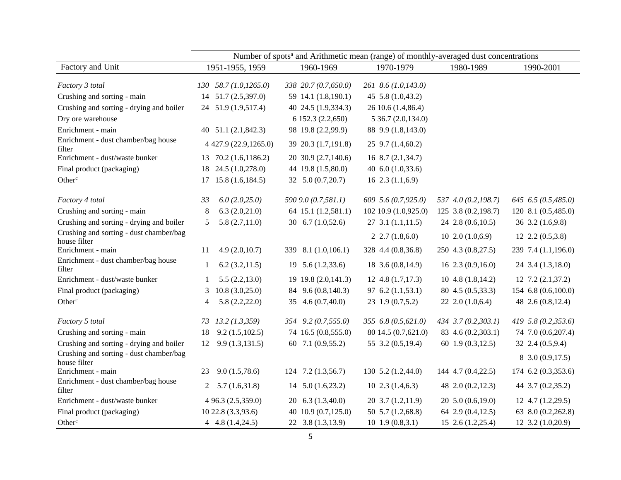|                                                         | Number of spots <sup>a</sup> and Arithmetic mean (range) of monthly-averaged dust concentrations |                                  |                        |                         |                        |  |  |  |  |
|---------------------------------------------------------|--------------------------------------------------------------------------------------------------|----------------------------------|------------------------|-------------------------|------------------------|--|--|--|--|
| Factory and Unit                                        | 1951-1955, 1959                                                                                  | 1960-1969                        | 1970-1979              | 1980-1989               | 1990-2001              |  |  |  |  |
| Factory 3 total                                         | $130$ $58.7$ $(1.0, 1265.0)$                                                                     | 338 20.7 (0.7,650.0)             | 261 8.6 (1.0,143.0)    |                         |                        |  |  |  |  |
| Crushing and sorting - main                             | 14 51.7 (2.5,397.0)                                                                              | 59 14.1 (1.8,190.1)              | 45 5.8 (1.0,43.2)      |                         |                        |  |  |  |  |
| Crushing and sorting - drying and boiler                | 24 51.9 (1.9,517.4)                                                                              | 40 24.5 (1.9,334.3)              | 26 10.6 (1.4,86.4)     |                         |                        |  |  |  |  |
| Dry ore warehouse                                       |                                                                                                  | 6 152.3 (2.2,650)                | 5 36.7 (2.0,134.0)     |                         |                        |  |  |  |  |
| Enrichment - main                                       | 40 51.1 (2.1,842.3)                                                                              | 98 19.8 (2.2,99.9)               | 88 9.9 (1.8,143.0)     |                         |                        |  |  |  |  |
| Enrichment - dust chamber/bag house<br>filter           | 4 427.9 (22.9,1265.0)                                                                            | 39 20.3 (1.7,191.8)              | $25$ 9.7 (1.4,60.2)    |                         |                        |  |  |  |  |
| Enrichment - dust/waste bunker                          | 13 70.2 (1.6,1186.2)                                                                             | 20 30.9 (2.7,140.6)              | 168.7(2.1, 34.7)       |                         |                        |  |  |  |  |
| Final product (packaging)                               | 24.5 (1.0,278.0)<br>18                                                                           | 44 19.8 (1.5,80.0)               | 40 6.0 (1.0,33.6)      |                         |                        |  |  |  |  |
| Other <sup>c</sup>                                      | $17$ 15.8 $(1.6, 184.5)$                                                                         | 32 5.0 (0.7,20.7)                | $16$ $2.3$ $(1.1,6.9)$ |                         |                        |  |  |  |  |
| Factory 4 total                                         | 6.0(2.0,25.0)<br>33                                                                              | 590 9.0 (0.7,581.1)              | 609 5.6 (0.7,925.0)    | 537 4.0 (0.2,198.7)     | 645 6.5 (0.5,485.0)    |  |  |  |  |
| Crushing and sorting - main                             | 6.3(2.0,21.0)<br>8                                                                               | 64 15.1 (1.2,581.1)              | 102 10.9 (1.0,925.0)   | 125 3.8 (0.2, 198.7)    | 120 8.1 (0.5,485.0)    |  |  |  |  |
| Crushing and sorting - drying and boiler                | 5.8(2.7,11.0)<br>5                                                                               | 30 $6.7(1.0,52.6)$               | $27$ 3.1 (1.1,11.5)    | 24 2.8 (0.6,10.5)       | 36 3.2 (1.6,9.8)       |  |  |  |  |
| Crushing and sorting - dust chamber/bag<br>house filter |                                                                                                  |                                  | $2, 2.7$ $(1.8, 6.0)$  | 102.0(1.0,6.9)          | $12$ $2.2$ $(0.5,3.8)$ |  |  |  |  |
| Enrichment - main                                       | 4.9(2.0,10.7)<br>11                                                                              | 339 8.1 (1.0,106.1)              | 328 4.4 (0.8,36.8)     | 250 4.3 (0.8,27.5)      | 239 7.4 (1.1,196.0)    |  |  |  |  |
| Enrichment - dust chamber/bag house<br>filter           | 6.2(3.2,11.5)<br>1                                                                               | $19 \quad 5.6 \quad (1.2, 33.6)$ | 18 3.6 (0.8, 14.9)     | $16\;2.3\; (0.9, 16.0)$ | 24 3.4 (1.3,18.0)      |  |  |  |  |
| Enrichment - dust/waste bunker                          | 5.5(2.2, 13.0)<br>-1                                                                             | 19 19.8 (2.0, 141.3)             | $12$ 4.8 $(1.7, 17.3)$ | $10$ 4.8 $(1.8, 14.2)$  | $12$ 7.2 $(2.1,37.2)$  |  |  |  |  |
| Final product (packaging)                               | 10.8(3.0, 25.0)<br>3                                                                             | 84 9.6 (0.8,140.3)               | $97\;6.2\;(1.1,53.1)$  | 80 4.5 (0.5,33.3)       | 154 6.8 (0.6,100.0)    |  |  |  |  |
| Other <sup>c</sup>                                      | 5.8(2.2,22.0)<br>4                                                                               | 35 4.6 (0.7,40.0)                | 23 1.9 (0.7,5.2)       | $22$ $2.0$ $(1.0,6.4)$  | 48 2.6 (0.8,12.4)      |  |  |  |  |
| Factory 5 total                                         | 73 13.2 (1.3,359)                                                                                | 354 9.2 (0.7,555.0)              | 355 6.8 (0.5,621.0)    | 434 3.7 (0.2,303.1)     | 419 5.8 (0.2,353.6)    |  |  |  |  |
| Crushing and sorting - main                             | 9.2(1.5,102.5)<br>18                                                                             | 74 16.5 (0.8,555.0)              | 80 14.5 (0.7,621.0)    | 83 4.6 (0.2,303.1)      | 74 7.0 (0.6,207.4)     |  |  |  |  |
| Crushing and sorting - drying and boiler                | 9.9(1.3, 131.5)<br>12                                                                            | 60 7.1 (0.9,55.2)                | 55 3.2 (0.5,19.4)      | 60 1.9 (0.3,12.5)       | 32 2.4 (0.5,9.4)       |  |  |  |  |
| Crushing and sorting - dust chamber/bag<br>house filter |                                                                                                  |                                  |                        |                         | 8 3.0 (0.9,17.5)       |  |  |  |  |
| Enrichment - main                                       | 9.0(1.5,78.6)<br>23                                                                              | $124$ 7.2 (1.3,56.7)             | 130 5.2 (1.2,44.0)     | 144 4.7 (0.4,22.5)      | 174 6.2 (0.3,353.6)    |  |  |  |  |
| Enrichment - dust chamber/bag house<br>filter           | 5.7(1.6,31.8)<br>2                                                                               | $14$ 5.0 (1.6,23.2)              | $10\;2.3\;(1.4,6.3)$   | 48 2.0 (0.2,12.3)       | 44 3.7 (0.2,35.2)      |  |  |  |  |
| Enrichment - dust/waste bunker                          | 4 96.3 (2.5,359.0)                                                                               | $20\quad 6.3\ (1.3,40.0)$        | 20 3.7 (1.2,11.9)      | 20 5.0 (0.6,19.0)       | $12$ 4.7 $(1.2,29.5)$  |  |  |  |  |
| Final product (packaging)                               | 10 22.8 (3.3,93.6)                                                                               | 40 10.9 (0.7,125.0)              | 50 5.7 (1.2,68.8)      | 64 2.9 (0.4,12.5)       | 63 8.0 (0.2,262.8)     |  |  |  |  |
| Other <sup>c</sup>                                      | 4 $4.8(1.4,24.5)$                                                                                | 22 3.8 (1.3,13.9)                | $10$ 1.9 $(0.8,3.1)$   | $15$ 2.6 $(1.2, 25.4)$  | $12$ 3.2 $(1.0,20.9)$  |  |  |  |  |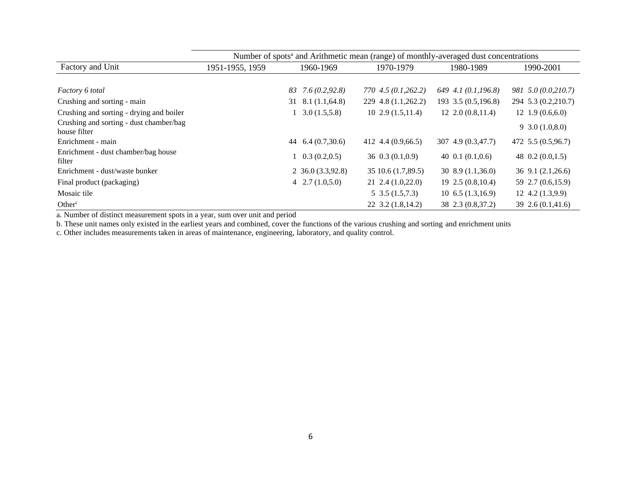|                                                         | Number of spots <sup>a</sup> and Arithmetic mean (range) of monthly-averaged dust concentrations |                          |                        |                         |                        |  |  |  |  |  |
|---------------------------------------------------------|--------------------------------------------------------------------------------------------------|--------------------------|------------------------|-------------------------|------------------------|--|--|--|--|--|
| Factory and Unit                                        | 1951-1955, 1959                                                                                  | 1960-1969                | 1970-1979              | 1980-1989               | 1990-2001              |  |  |  |  |  |
|                                                         |                                                                                                  |                          |                        |                         |                        |  |  |  |  |  |
| Factory 6 total                                         |                                                                                                  | 7.6(0.2, 92.8)<br>83     | 770 4.5 (0.1,262.2)    | 649 4.1 $(0.1, 196.8)$  | 981 5.0 (0.0,210.7)    |  |  |  |  |  |
| Crushing and sorting - main                             |                                                                                                  | $31$ $8.1$ $(1.1,64.8)$  | 229 4.8 (1.1,262.2)    | 193 3.5 (0.5,196.8)     | 294 5.3 (0.2,210.7)    |  |  |  |  |  |
| Crushing and sorting - drying and boiler                |                                                                                                  | 3.0(1.5,5.8)             | $10\,2.9\,(1.5,11.4)$  | $12, 2.0$ $(0.8, 11.4)$ | $12 \t1.9(0.6,6.0)$    |  |  |  |  |  |
| Crushing and sorting - dust chamber/bag<br>house filter |                                                                                                  |                          |                        |                         | $9\,3.0\,(1.0,8.0)$    |  |  |  |  |  |
| Enrichment - main                                       |                                                                                                  | 6.4(0.7,30.6)<br>44      | 412 4.4 $(0.9,66.5)$   | 307 4.9 (0.3,47.7)      | 472 5.5 (0.5,96.7)     |  |  |  |  |  |
| Enrichment - dust chamber/bag house<br>filter           |                                                                                                  | $1\quad 0.3\ (0.2, 0.5)$ | $36 \t0.3(0.1,0.9)$    | 40 $0.1(0.1, 0.6)$      | 48 $0.2(0.0, 1.5)$     |  |  |  |  |  |
| Enrichment - dust/waste bunker                          |                                                                                                  | $2\,36.0\,(3.3,92.8)$    | 35 10.6 (1.7,89.5)     | $30\,8.9\,(1.1,36.0)$   | $36$ 9.1 $(2.1, 26.6)$ |  |  |  |  |  |
| Final product (packaging)                               |                                                                                                  | $4\quad 2.7\ (1.0,5.0)$  | $21\;2.4\; (1.0,22.0)$ | $19\,2.5\,(0.8,10.4)$   | 59 2.7 (0.6,15.9)      |  |  |  |  |  |
| Mosaic tile                                             |                                                                                                  |                          | $5\,3.5\,(1.5,7.3)$    | $10\;6.5\; (1.3, 16.9)$ | $12\,4.2\,(1.3,9.9)$   |  |  |  |  |  |
| Other <sup>c</sup>                                      |                                                                                                  |                          | $22$ 3.2 (1.8, 14.2)   | 38 2.3 (0.8,37.2)       | 39 2.6 (0.1,41.6)      |  |  |  |  |  |

a. Number of distinct measurement spots in a year, sum over unit and period

b. These unit names only existed in the earliest years and combined, cover the functions of the various crushing and sorting and enrichment units

c. Other includes measurements taken in areas of maintenance, engineering, laboratory, and quality control.